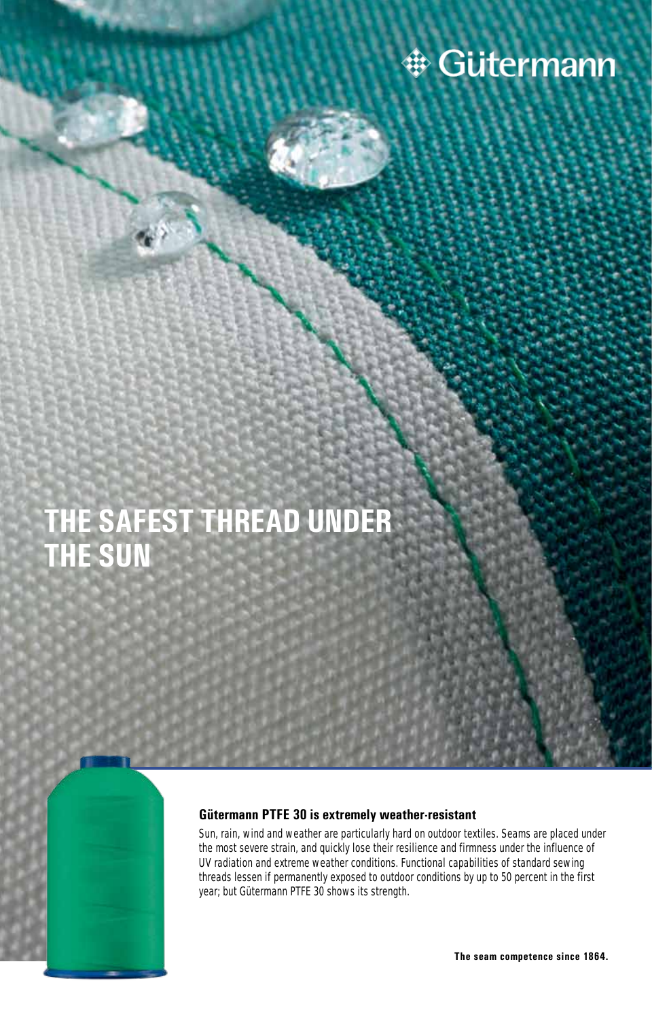

## **THE SAFEST THREAD UNDER THE SUN**

#### **Gütermann PTFE 30 is extremely weather-resistant**

Sun, rain, wind and weather are particularly hard on outdoor textiles. Seams are placed under the most severe strain, and quickly lose their resilience and firmness under the influence of UV radiation and extreme weather conditions. Functional capabilities of standard sewing threads lessen if permanently exposed to outdoor conditions by up to 50 percent in the first year; but Gütermann PTFE 30 shows its strength.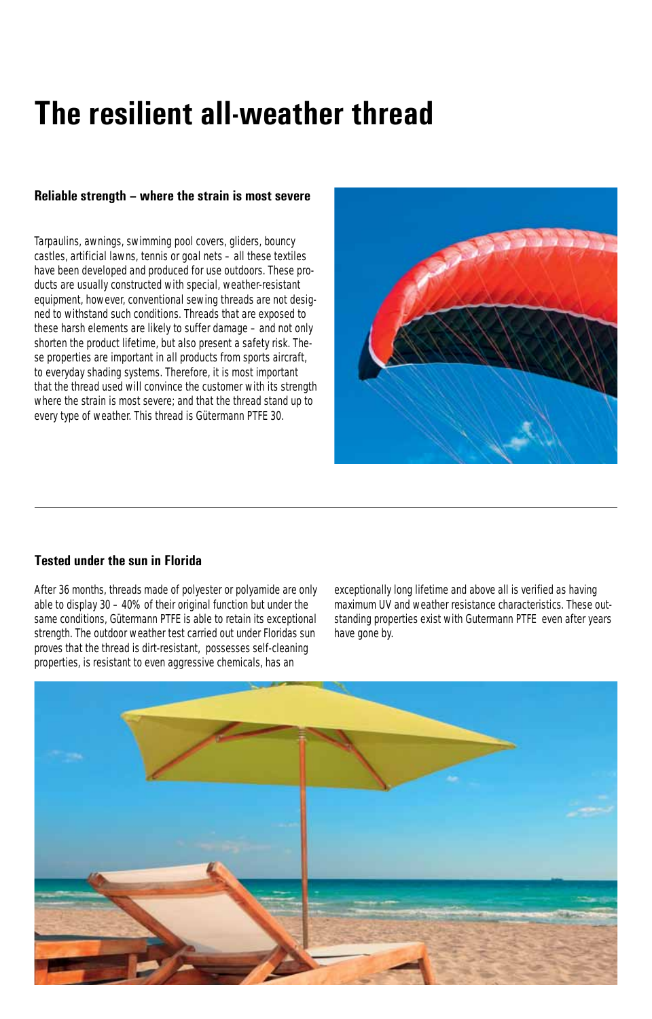# **The resilient all-weather thread**

#### **Reliable strength – where the strain is most severe**

Tarpaulins, awnings, swimming pool covers, gliders, bouncy castles, artificial lawns, tennis or goal nets – all these textiles have been developed and produced for use outdoors. These products are usually constructed with special, weather-resistant equipment, however, conventional sewing threads are not designed to withstand such conditions. Threads that are exposed to these harsh elements are likely to suffer damage – and not only shorten the product lifetime, but also present a safety risk. These properties are important in all products from sports aircraft, to everyday shading systems. Therefore, it is most important that the thread used will convince the customer with its strength where the strain is most severe; and that the thread stand up to every type of weather. This thread is Gütermann PTFE 30.



#### **Tested under the sun in Florida**

After 36 months, threads made of polyester or polyamide are only able to display 30 – 40% of their original function but under the same conditions, Gütermann PTFE is able to retain its exceptional strength. The outdoor weather test carried out under Floridas sun proves that the thread is dirt-resistant, possesses self-cleaning properties, is resistant to even aggressive chemicals, has an

exceptionally long lifetime and above all is verified as having maximum UV and weather resistance characteristics. These outstanding properties exist with Gutermann PTFE even after years have gone by.

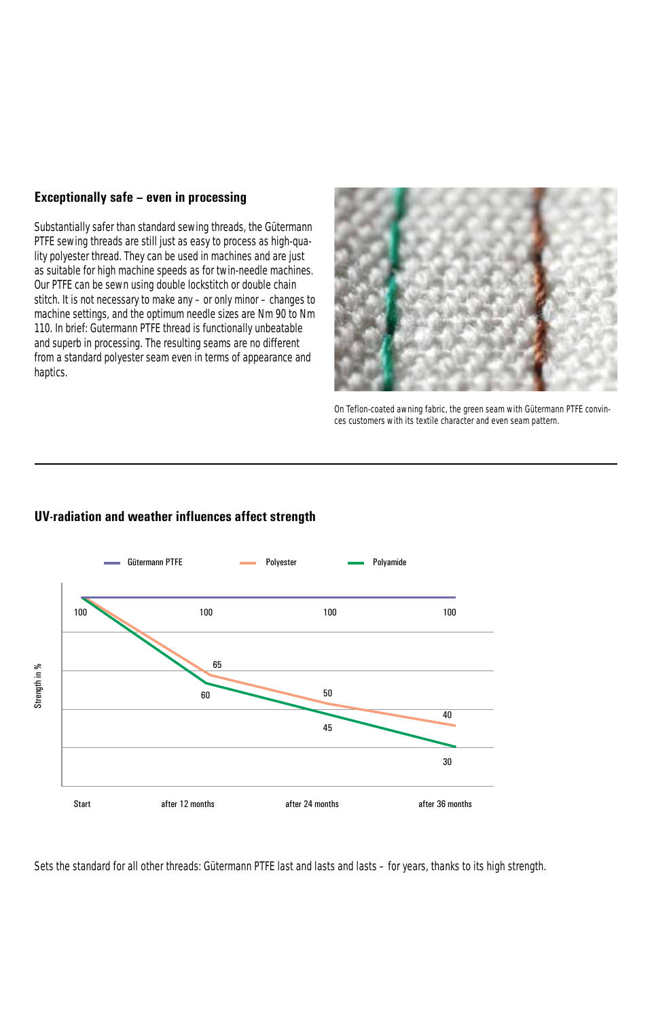#### **Exceptionally safe – even in processing**

Substantially safer than standard sewing threads, the Gütermann PTFE sewing threads are still just as easy to process as high-quality polyester thread. They can be used in machines and are just as suitable for high machine speeds as for twin-needle machines. Our PTFE can be sewn using double lockstitch or double chain stitch. It is not necessary to make any – or only minor – changes to machine settings, and the optimum needle sizes are Nm 90 to Nm 110. In brief: Gutermann PTFE thread is functionally unbeatable and superb in processing. The resulting seams are no different from a standard polyester seam even in terms of appearance and haptics.



On Teflon-coated awning fabric, the green seam with Gütermann PTFE convinces customers with its textile character and even seam pattern.

### Gütermann PTFE **CONFIDENTIAL PROVESTER** Polyester **CONFIDENT** Polyamide 100 100 100 100 65 Strength in % Strength in %50 60 40 45 30 Start after 12 months after 24 months after 36 months

#### **UV-radiation and weather influences affect strength**

Sets the standard for all other threads: Gütermann PTFE last and lasts and lasts – for years, thanks to its high strength.